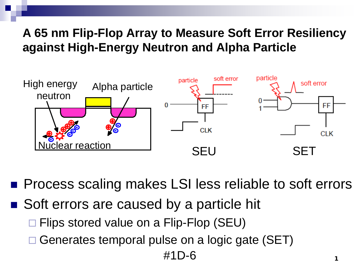#### **A 65 nm Flip-Flop Array to Measure Soft Error Resiliency against High-Energy Neutron and Alpha Particle**



**Process scaling makes LSI less reliable to soft errors** 

- Soft errors are caused by a particle hit
	- □ Flips stored value on a Flip-Flop (SEU)
	- □ Generates temporal pulse on a logic gate (SET)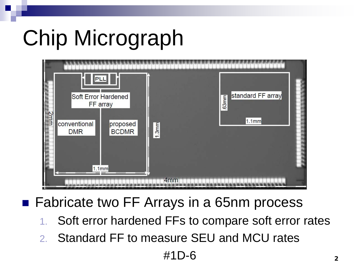# Chip Micrograph



### ■ Fabricate two FF Arrays in a 65nm process

- Soft error hardened FFs to compare soft error rates
- 2. Standard FF to measure SEU and MCU rates

 $\#1D-6$  2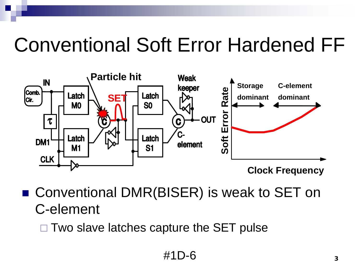## Conventional Soft Error Hardened FF



■ Conventional DMR(BISER) is weak to SET on C-element

 $\Box$  Two slave latches capture the SET pulse

#1D-6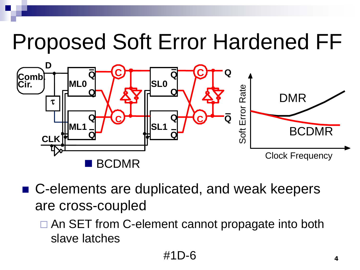## Proposed Soft Error Hardened FF



- C-elements are duplicated, and weak keepers are cross-coupled
	- □ An SET from C-element cannot propagate into both slave latches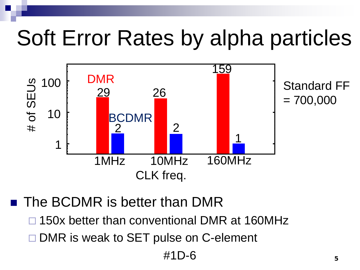## Soft Error Rates by alpha particles



**The BCDMR is better than DMR** 

- □ 150x better than conventional DMR at 160MHz
- DMR is weak to SET pulse on C-element

#1D-6